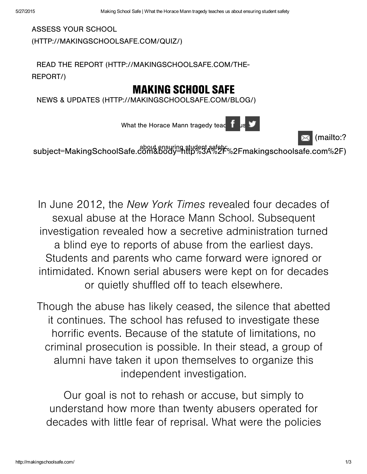**ASSESS YOUR SCHOOL** (HTTP://MAKINGSCHOOLSAFE.COM/QUIZ/)

READ THE REPORT (HTTP://MAKINGSCHOOLSAFE.COM/THE-REPORT/)

# MAKING SCHOOL SAF

NEWS & UPDATES (HTTP://MAKINGSCHOOLSAFE.COM/BLOG/)

What the Horace Mann tragedy tea[che](javascript: void(0))r using  $\mathbf{f}$ 

(mailto:?

subject=MakingSchoolSafe.com&body=http%3A%2F%2Fmakingschoolsafe.com%2F)

In June 2012, the New York Times revealed four decades of sexual abuse at the Horace Mann School. Subsequent investigation revealed how a secretive administration turned a blind eye to reports of abuse from the earliest days. Students and parents who came forward were ignored or intimidated. Known serial abusers were kept on for decades or quietly shuffled off to teach elsewhere.

Though the abuse has likely ceased, the silence that abetted it continues. The school has refused to investigate these horrific events. Because of the statute of limitations, no criminal prosecution is possible. In their stead, a group of alumni have taken it upon themselves to organize this independent investigation.

Our goal is not to rehash or accuse, but simply to understand how more than twenty abusers operated for decades with little fear of reprisal. What were the policies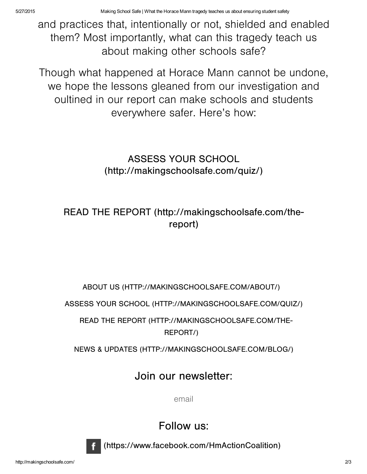and practices that, intentionally or not, shielded and enabled them? Most importantly, what can this tragedy teach us about making other schools safe?

Though what happened at Horace Mann cannot be undone, we hope the lessons gleaned from our investigation and oultined in our report can make schools and students everywhere safer. Here's how:

### ASSESS YOUR SCHOOL [\(http://makingchoolafe.com/quiz/\)](http://makingschoolsafe.com/quiz/)

### READ THE REPORT (http://makingschoolsafe.com/thereport)

#### ABOUT US (HTTP://MAKINGSCHOOLSAFE.COM/ABOUT/)

ASSESS YOUR SCHOOL (HTTP://MAKINGSCHOOLSAFE.COM/QUIZ/)

READ THE REPORT (HTTP://MAKINGSCHOOLSAFE.COM/THE-REPORT/)

NEWS & UPDATES (HTTP://MAKINGSCHOOLSAFE.COM/BLOG/)

## Join our newsletter:

email

Follow us:



(https://www.facebook.com/HmActionCoalition)